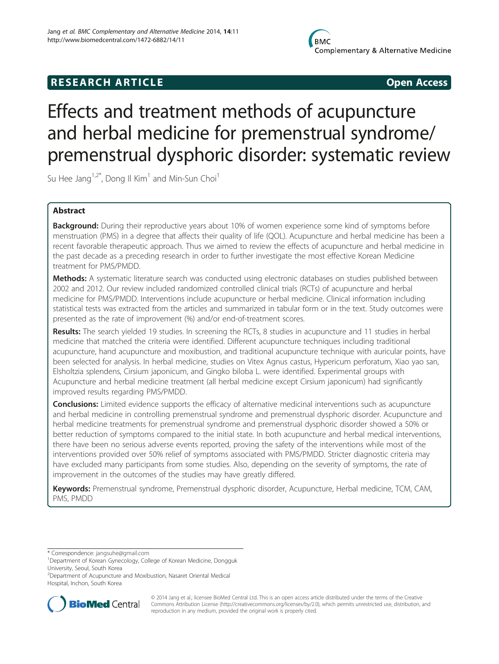## **RESEARCH ARTICLE CONSUMING A RESEARCH ARTICLE**

# Effects and treatment methods of acupuncture and herbal medicine for premenstrual syndrome/ premenstrual dysphoric disorder: systematic review

Su Hee Jang<sup>1,2\*</sup>, Dong II Kim<sup>1</sup> and Min-Sun Choi<sup>1</sup>

## Abstract

Background: During their reproductive years about 10% of women experience some kind of symptoms before menstruation (PMS) in a degree that affects their quality of life (QOL). Acupuncture and herbal medicine has been a recent favorable therapeutic approach. Thus we aimed to review the effects of acupuncture and herbal medicine in the past decade as a preceding research in order to further investigate the most effective Korean Medicine treatment for PMS/PMDD.

**Methods:** A systematic literature search was conducted using electronic databases on studies published between 2002 and 2012. Our review included randomized controlled clinical trials (RCTs) of acupuncture and herbal medicine for PMS/PMDD. Interventions include acupuncture or herbal medicine. Clinical information including statistical tests was extracted from the articles and summarized in tabular form or in the text. Study outcomes were presented as the rate of improvement (%) and/or end-of-treatment scores.

Results: The search yielded 19 studies. In screening the RCTs, 8 studies in acupuncture and 11 studies in herbal medicine that matched the criteria were identified. Different acupuncture techniques including traditional acupuncture, hand acupuncture and moxibustion, and traditional acupuncture technique with auricular points, have been selected for analysis. In herbal medicine, studies on Vitex Agnus castus, Hypericum perforatum, Xiao yao san, Elsholtzia splendens, Cirsium japonicum, and Gingko biloba L. were identified. Experimental groups with Acupuncture and herbal medicine treatment (all herbal medicine except Cirsium japonicum) had significantly improved results regarding PMS/PMDD.

**Conclusions:** Limited evidence supports the efficacy of alternative medicinal interventions such as acupuncture and herbal medicine in controlling premenstrual syndrome and premenstrual dysphoric disorder. Acupuncture and herbal medicine treatments for premenstrual syndrome and premenstrual dysphoric disorder showed a 50% or better reduction of symptoms compared to the initial state. In both acupuncture and herbal medical interventions, there have been no serious adverse events reported, proving the safety of the interventions while most of the interventions provided over 50% relief of symptoms associated with PMS/PMDD. Stricter diagnostic criteria may have excluded many participants from some studies. Also, depending on the severity of symptoms, the rate of improvement in the outcomes of the studies may have greatly differed.

Keywords: Premenstrual syndrome, Premenstrual dysphoric disorder, Acupuncture, Herbal medicine, TCM, CAM, PMS, PMDD

\* Correspondence: [jangsuhe@gmail.com](mailto:jangsuhe@gmail.com) <sup>1</sup>

<sup>2</sup> Department of Acupuncture and Moxibustion, Nasaret Oriental Medical Hospital, Inchon, South Korea



© 2014 Jang et al.; licensee BioMed Central Ltd. This is an open access article distributed under the terms of the Creative Commons Attribution License [\(http://creativecommons.org/licenses/by/2.0\)](http://creativecommons.org/licenses/by/2.0), which permits unrestricted use, distribution, and reproduction in any medium, provided the original work is properly cited.

Department of Korean Gynecology, College of Korean Medicine, Dongguk University, Seoul, South Korea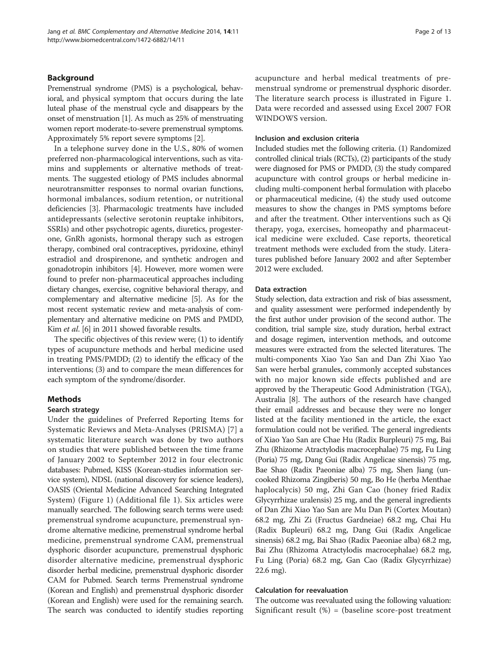## Background

Premenstrual syndrome (PMS) is a psychological, behavioral, and physical symptom that occurs during the late luteal phase of the menstrual cycle and disappears by the onset of menstruation [\[1](#page-11-0)]. As much as 25% of menstruating women report moderate-to-severe premenstrual symptoms. Approximately 5% report severe symptoms [[2\]](#page-11-0).

In a telephone survey done in the U.S., 80% of women preferred non-pharmacological interventions, such as vitamins and supplements or alternative methods of treatments. The suggested etiology of PMS includes abnormal neurotransmitter responses to normal ovarian functions, hormonal imbalances, sodium retention, or nutritional deficiencies [[3\]](#page-11-0). Pharmacologic treatments have included antidepressants (selective serotonin reuptake inhibitors, SSRIs) and other psychotropic agents, diuretics, progesterone, GnRh agonists, hormonal therapy such as estrogen therapy, combined oral contraceptives, pyridoxine, ethinyl estradiol and drospirenone, and synthetic androgen and gonadotropin inhibitors [\[4](#page-11-0)]. However, more women were found to prefer non-pharmaceutical approaches including dietary changes, exercise, cognitive behavioral therapy, and complementary and alternative medicine [[5](#page-11-0)]. As for the most recent systematic review and meta-analysis of complementary and alternative medicine on PMS and PMDD, Kim et al. [\[6\]](#page-11-0) in 2011 showed favorable results.

The specific objectives of this review were; (1) to identify types of acupuncture methods and herbal medicine used in treating PMS/PMDD; (2) to identify the efficacy of the interventions; (3) and to compare the mean differences for each symptom of the syndrome/disorder.

## Methods

#### Search strategy

Under the guidelines of Preferred Reporting Items for Systematic Reviews and Meta-Analyses (PRISMA) [[7](#page-11-0)] a systematic literature search was done by two authors on studies that were published between the time frame of January 2002 to September 2012 in four electronic databases: Pubmed, KISS (Korean-studies information service system), NDSL (national discovery for science leaders), OASIS (Oriental Medicine Advanced Searching Integrated System) (Figure [1](#page-2-0)) (Additional file [1\)](#page-11-0). Six articles were manually searched. The following search terms were used: premenstrual syndrome acupuncture, premenstrual syndrome alternative medicine, premenstrual syndrome herbal medicine, premenstrual syndrome CAM, premenstrual dysphoric disorder acupuncture, premenstrual dysphoric disorder alternative medicine, premenstrual dysphoric disorder herbal medicine, premenstrual dysphoric disorder CAM for Pubmed. Search terms Premenstrual syndrome (Korean and English) and premenstrual dysphoric disorder (Korean and English) were used for the remaining search. The search was conducted to identify studies reporting acupuncture and herbal medical treatments of premenstrual syndrome or premenstrual dysphoric disorder. The literature search process is illustrated in Figure [1](#page-2-0). Data were recorded and assessed using Excel 2007 FOR WINDOWS version.

#### Inclusion and exclusion criteria

Included studies met the following criteria. (1) Randomized controlled clinical trials (RCTs), (2) participants of the study were diagnosed for PMS or PMDD, (3) the study compared acupuncture with control groups or herbal medicine including multi-component herbal formulation with placebo or pharmaceutical medicine, (4) the study used outcome measures to show the changes in PMS symptoms before and after the treatment. Other interventions such as Qi therapy, yoga, exercises, homeopathy and pharmaceutical medicine were excluded. Case reports, theoretical treatment methods were excluded from the study. Literatures published before January 2002 and after September 2012 were excluded.

### Data extraction

Study selection, data extraction and risk of bias assessment, and quality assessment were performed independently by the first author under provision of the second author. The condition, trial sample size, study duration, herbal extract and dosage regimen, intervention methods, and outcome measures were extracted from the selected literatures. The multi-components Xiao Yao San and Dan Zhi Xiao Yao San were herbal granules, commonly accepted substances with no major known side effects published and are approved by the Therapeutic Good Administration (TGA), Australia [\[8\]](#page-11-0). The authors of the research have changed their email addresses and because they were no longer listed at the facility mentioned in the article, the exact formulation could not be verified. The general ingredients of Xiao Yao San are Chae Hu (Radix Burpleuri) 75 mg, Bai Zhu (Rhizome Atractylodis macrocephalae) 75 mg, Fu Ling (Poria) 75 mg, Dang Gui (Radix Angelicae sinensis) 75 mg, Bae Shao (Radix Paeoniae alba) 75 mg, Shen Jiang (uncooked Rhizoma Zingiberis) 50 mg, Bo He (herba Menthae haplocalycis) 50 mg, Zhi Gan Cao (honey fried Radix Glycyrrhizae uralensis) 25 mg, and the general ingredients of Dan Zhi Xiao Yao San are Mu Dan Pi (Cortex Moutan) 68.2 mg, Zhi Zi (Fructus Gardneiae) 68.2 mg, Chai Hu (Radix Bupleuri) 68.2 mg, Dang Gui (Radix Angelicae sinensis) 68.2 mg, Bai Shao (Radix Paeoniae alba) 68.2 mg, Bai Zhu (Rhizoma Atractylodis macrocephalae) 68.2 mg, Fu Ling (Poria) 68.2 mg, Gan Cao (Radix Glycyrrhizae) 22.6 mg).

#### Calculation for reevaluation

The outcome was reevaluated using the following valuation: Significant result  $%$  = (baseline score-post treatment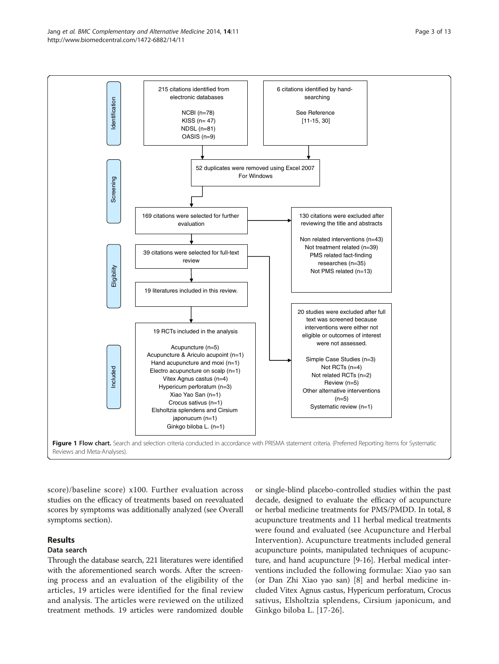<span id="page-2-0"></span>

score)/baseline score) x100. Further evaluation across studies on the efficacy of treatments based on reevaluated scores by symptoms was additionally analyzed (see Overall symptoms section).

## Results

## Data search

Through the database search, 221 literatures were identified with the aforementioned search words. After the screening process and an evaluation of the eligibility of the articles, 19 articles were identified for the final review and analysis. The articles were reviewed on the utilized treatment methods. 19 articles were randomized double

or single-blind placebo-controlled studies within the past decade, designed to evaluate the efficacy of acupuncture or herbal medicine treatments for PMS/PMDD. In total, 8 acupuncture treatments and 11 herbal medical treatments were found and evaluated (see Acupuncture and Herbal Intervention). Acupuncture treatments included general acupuncture points, manipulated techniques of acupuncture, and hand acupuncture [[9-16\]](#page-11-0). Herbal medical interventions included the following formulae: Xiao yao san (or Dan Zhi Xiao yao san) [\[8](#page-11-0)] and herbal medicine included Vitex Agnus castus, Hypericum perforatum, Crocus sativus, Elsholtzia splendens, Cirsium japonicum, and Ginkgo biloba L. [[17](#page-11-0)-[26](#page-11-0)].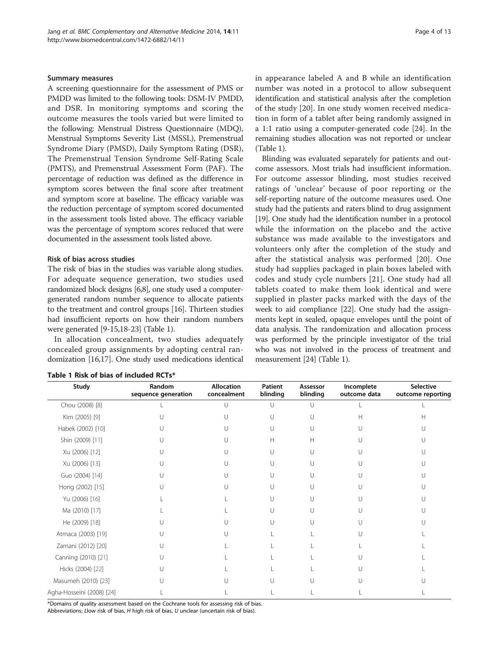### Summary measures

A screening questionnaire for the assessment of PMS or PMDD was limited to the following tools: DSM-IV PMDD, and DSR. In monitoring symptoms and scoring the outcome measures the tools varied but were limited to the following: Menstrual Distress Questionnaire (MDQ), Menstrual Symptoms Severity List (MSSL), Premenstrual Syndrome Diary (PMSD), Daily Symptom Rating (DSR), The Premenstrual Tension Syndrome Self-Rating Scale (PMTS), and Premenstrual Assessment Form (PAF). The percentage of reduction was defined as the difference in symptom scores between the final score after treatment and symptom score at baseline. The efficacy variable was the reduction percentage of symptom scored documented in the assessment tools listed above. The efficacy variable was the percentage of symptom scores reduced that were documented in the assessment tools listed above.

## Risk of bias across studies

The risk of bias in the studies was variable along studies. For adequate sequence generation, two studies used randomized block designs [\[6,8](#page-11-0)], one study used a computergenerated random number sequence to allocate patients to the treatment had insufficient were generated

In allocation concealed grou domization [16,

| and control groups [16]. Thirteen studies | week to aid compl   |
|-------------------------------------------|---------------------|
| reports on how their random numbers       | ments kept in seale |
| $[9-15, 18-23]$ (Table 1).                | data analysis. The  |
| concealment, two studies adequately       | was performed by    |
| p assignments by adopting central ran-    | who was not invol   |
| 17]. One study used medications identical | measurement [24] (  |

| Study                     | Random<br>sequence generation | <b>Allocation</b><br>concealment | Patient<br>blinding | Assessor<br>blinding | Incomplete<br>outcome data | <b>Selective</b><br>outcome reporting |
|---------------------------|-------------------------------|----------------------------------|---------------------|----------------------|----------------------------|---------------------------------------|
| Chou (2008) [8]           |                               |                                  | U                   | U                    |                            |                                       |
| Kim (2005) [9]            |                               |                                  |                     |                      | Н                          | Н                                     |
| Habek (2002) [10]         |                               |                                  |                     |                      |                            |                                       |
| Shin (2009) [11]          |                               |                                  | Н                   | Н                    |                            |                                       |
| Xu (2006) [12]            |                               |                                  | П                   | U                    | U                          |                                       |
| Xu (2006) [13]            |                               |                                  | U                   | U                    | U                          |                                       |
| Guo (2004) [14]           |                               |                                  |                     | U                    |                            |                                       |
| Hong (2002) [15]          |                               |                                  | U                   | U                    | U                          |                                       |
| Yu (2006) [16]            |                               |                                  |                     | U                    | U                          |                                       |
| Ma (2010) [17]            |                               |                                  | U                   | U                    | U                          |                                       |
| He (2009) [18]            |                               |                                  |                     |                      |                            |                                       |
| Atmaca (2003) [19]        |                               |                                  |                     |                      |                            |                                       |
| Zamani (2012) [20]        |                               |                                  |                     |                      |                            |                                       |
| Canning (2010) [21]       |                               |                                  |                     |                      |                            |                                       |
| Hicks (2004) [22]         |                               |                                  |                     |                      |                            |                                       |
| Masumeh (2010) [23]       |                               |                                  |                     |                      |                            |                                       |
| Agha-Hosseini (2008) [24] |                               |                                  |                     |                      |                            |                                       |

## Table 1 Risk of bias of included RCTs\*

\*Domains of quality assessment based on the Cochrane tools for assessing risk of bias.

Abbreviations; Llow risk of bias, H high risk of bias, U unclear (uncertain risk of bias).

in appearance labeled A and B while an identification number was noted in a protocol to allow subsequent identification and statistical analysis after the completion of the study [[20\]](#page-11-0). In one study women received medication in form of a tablet after being randomly assigned in a 1:1 ratio using a computer-generated code [\[24\]](#page-11-0). In the remaining studies allocation was not reported or unclear (Table 1).

Blinding was evaluated separately for patients and outcome assessors. Most trials had insufficient information. For outcome assessor blinding, most studies received ratings of 'unclear' because of poor reporting or the self-reporting nature of the outcome measures used. One study had the patients and raters blind to drug assignment [[19](#page-11-0)]. One study had the identification number in a protocol while the information on the placebo and the active substance was made available to the investigators and volunteers only after the completion of the study and after the statistical analysis was performed [\[20](#page-11-0)]. One study had supplies packaged in plain boxes labeled with codes and study cycle numbers [[21\]](#page-11-0). One study had all tablets coated to make them look identical and were supplied in plaster packs marked with the days of the iance [[22\]](#page-11-0). One study had the assigned, opaque envelopes until the point of randomization and allocation process the principle investigator of the trial lved in the process of treatment and Table 1).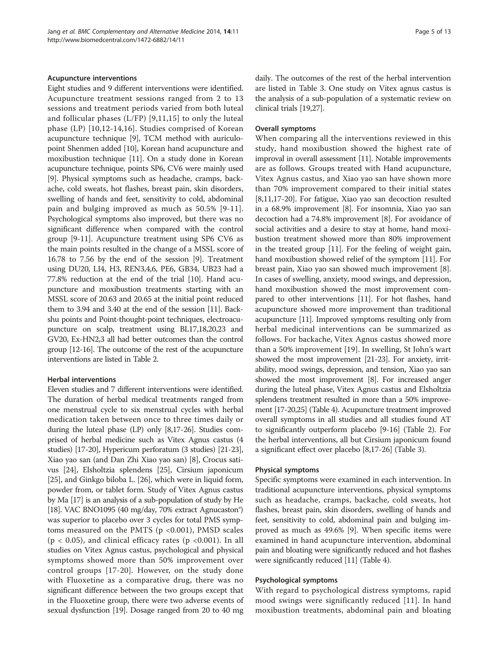#### Acupuncture interventions

Eight studies and 9 different interventions were identified. Acupuncture treatment sessions ranged from 2 to 13 sessions and treatment periods varied from both luteal and follicular phases (L/FP) [[9](#page-11-0),[11,15](#page-11-0)] to only the luteal phase (LP) [[10,12-14,16](#page-11-0)]. Studies comprised of Korean acupuncture technique [[9\]](#page-11-0), TCM method with auriculopoint Shenmen added [[10](#page-11-0)], Korean hand acupuncture and moxibustion technique [\[11\]](#page-11-0). On a study done in Korean acupuncture technique, points SP6, CV6 were mainly used [[9\]](#page-11-0). Physical symptoms such as headache, cramps, backache, cold sweats, hot flashes, breast pain, skin disorders, swelling of hands and feet, sensitivity to cold, abdominal pain and bulging improved as much as 50.5% [[9](#page-11-0)-[11](#page-11-0)]. Psychological symptoms also improved, but there was no significant difference when compared with the control group [[9-11\]](#page-11-0). Acupuncture treatment using SP6 CV6 as the main points resulted in the change of a MSSL score of 16.78 to 7.56 by the end of the session [\[9](#page-11-0)]. Treatment using DU20, LI4, H3, REN3,4,6, PE6, GB34, UB23 had a 77.8% reduction at the end of the trial [\[10](#page-11-0)]. Hand acupuncture and moxibustion treatments starting with an MSSL score of 20.63 and 20.65 at the initial point reduced them to 3.94 and 3.40 at the end of the session [[11](#page-11-0)]. Backshu points and Point-thought-point techniques, electroacupuncture on scalp, treatment using BL17,18,20,23 and GV20, Ex-HN2,3 all had better outcomes than the control group [[12](#page-11-0)-[16\]](#page-11-0). The outcome of the rest of the acupuncture interventions are listed in Table [2](#page-5-0).

## Herbal interventions

Eleven studies and 7 different interventions were identified. The duration of herbal medical treatments ranged from one menstrual cycle to six menstrual cycles with herbal medication taken between once to three times daily or during the luteal phase (LP) only [[8,17-26](#page-11-0)]. Studies comprised of herbal medicine such as Vitex Agnus castus (4 studies) [[17-20\]](#page-11-0), Hypericum perforatum (3 studies) [\[21-23](#page-11-0)], Xiao yao san (and Dan Zhi Xiao yao san) [\[8\]](#page-11-0), Crocus sativus [[24](#page-11-0)], Elsholtzia splendens [\[25](#page-11-0)], Cirsium japonicum [[25](#page-11-0)], and Ginkgo biloba L. [\[26\]](#page-11-0), which were in liquid form, powder from, or tablet form. Study of Vitex Agnus castus by Ma [\[17](#page-11-0)] is an analysis of a sub-population of study by He [[18\]](#page-11-0). VAC BNO1095 (40 mg/day, 70% extract Agnucaston®) was superior to placebo over 3 cycles for total PMS symptoms measured on the PMTS ( $p < 0.001$ ), PMSD scales  $(p < 0.05)$ , and clinical efficacy rates  $(p < 0.001)$ . In all studies on Vitex Agnus castus, psychological and physical symptoms showed more than 50% improvement over control groups [\[17-20\]](#page-11-0). However, on the study done with Fluoxetine as a comparative drug, there was no significant difference between the two groups except that in the Fluoxetine group, there were two adverse events of sexual dysfunction [[19](#page-11-0)]. Dosage ranged from 20 to 40 mg daily. The outcomes of the rest of the herbal intervention are listed in Table [3](#page-6-0). One study on Vitex agnus castus is the analysis of a sub-population of a systematic review on clinical trials [[19](#page-11-0),[27](#page-11-0)].

#### Overall symptoms

When comparing all the interventions reviewed in this study, hand moxibustion showed the highest rate of improval in overall assessment [\[11](#page-11-0)]. Notable improvements are as follows. Groups treated with Hand acupuncture, Vitex Agnus castus, and Xiao yao san have shown more than 70% improvement compared to their initial states [[8,11,17-20](#page-11-0)]. For fatigue, Xiao yao san decoction resulted in a 68.9% improvement [[8\]](#page-11-0). For insomnia, Xiao yao san decoction had a 74.8% improvement [\[8](#page-11-0)]. For avoidance of social activities and a desire to stay at home, hand moxibustion treatment showed more than 80% improvement in the treated group [\[11\]](#page-11-0). For the feeling of weight gain, hand moxibustion showed relief of the symptom [\[11\]](#page-11-0). For breast pain, Xiao yao san showed much improvement [[8](#page-11-0)]. In cases of swelling, anxiety, mood swings, and depression, hand moxibustion showed the most improvement compared to other interventions [\[11\]](#page-11-0). For hot flashes, hand acupuncture showed more improvement than traditional acupuncture [\[11](#page-11-0)]. Improved symptoms resulting only from herbal medicinal interventions can be summarized as follows. For backache, Vitex Agnus castus showed more than a 50% improvement [\[19](#page-11-0)]. In swelling, St John's wart showed the most improvement [\[21-23](#page-11-0)]. For anxiety, irritability, mood swings, depression, and tension, Xiao yao san showed the most improvement [\[8\]](#page-11-0). For increased anger during the luteal phase, Vitex Agnus castus and Elsholtzia splendens treatment resulted in more than a 50% improvement [\[17-20,25\]](#page-11-0) (Table [4](#page-8-0)). Acupuncture treatment improved overall symptoms in all studies and all studies found AT to significantly outperform placebo [[9-16\]](#page-11-0) (Table [2\)](#page-5-0). For the herbal interventions, all but Cirsium japonicum found a significant effect over placebo [[8,17](#page-11-0)-[26](#page-11-0)] (Table [3](#page-6-0)).

### Physical symptoms

Specific symptoms were examined in each intervention. In traditional acupuncture interventions, physical symptoms such as headache, cramps, backache, cold sweats, hot flashes, breast pain, skin disorders, swelling of hands and feet, sensitivity to cold, abdominal pain and bulging improved as much as 49.6% [[9\]](#page-11-0). When specific items were examined in hand acupuncture intervention, abdominal pain and bloating were significantly reduced and hot flashes were significantly reduced [\[11\]](#page-11-0) (Table [4](#page-8-0)).

## Psychological symptoms

With regard to psychological distress symptoms, rapid mood swings were significantly reduced [[11](#page-11-0)]. In hand moxibustion treatments, abdominal pain and bloating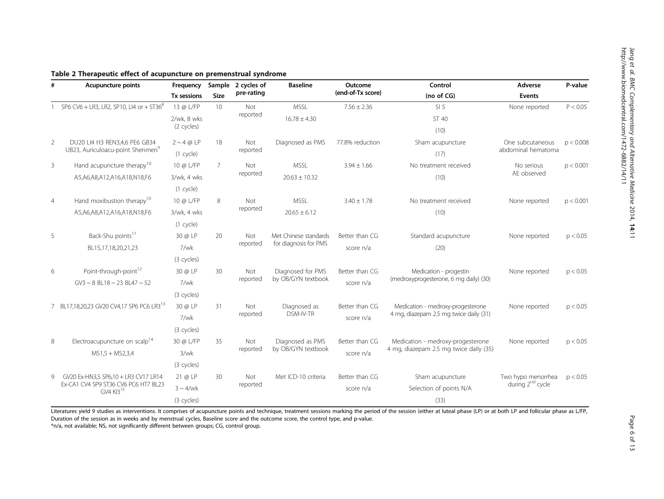| <b>Acupuncture points</b> |                                                               | Frequency       |                | Sample 2 cycles of | <b>Baseline</b>       | Outcome                                             | Control                                | Adverse            | P-value   |  |
|---------------------------|---------------------------------------------------------------|-----------------|----------------|--------------------|-----------------------|-----------------------------------------------------|----------------------------------------|--------------------|-----------|--|
|                           |                                                               | Tx sessions     | Size           | pre-rating         |                       | (end-of-Tx score)                                   | (no of CG)                             | Events             |           |  |
|                           | SP6 CV6 + LR3, LR2, SP10, LI4 or + ST36 <sup>8</sup>          | 13 @ L/FP       | 10             | Not                | <b>MSSL</b>           | $7.56 \pm 2.36$                                     | SI <sub>5</sub>                        | None reported      | P < 0.05  |  |
|                           |                                                               | 2/wk, 8 wks     |                | reported           | $16.78 \pm 4.30$      |                                                     | ST 40                                  |                    |           |  |
|                           |                                                               | (2 cycles)      |                |                    |                       |                                                     | (10)                                   |                    |           |  |
| 2                         | DU20 LI4 H3 REN3,4,6 PE6 GB34                                 | $2 \sim 4$ @ LP | 18             | Not                | Diagnosed as PMS      | 77.8% reduction                                     | Sham acupuncture                       | One subcutaneous   | p < 0.008 |  |
|                           | UB23, Auriculoacu-point Shenmen <sup>9</sup>                  | (1 cycle)       |                | reported           |                       |                                                     | (17)                                   | abdominal hematoma |           |  |
| $\mathbf{3}$              | Hand acupuncture therapy <sup>10</sup>                        | 10 @ L/FP       | $\overline{7}$ | Not                | <b>MSSL</b>           | $3.94 \pm 1.66$                                     | No treatment received                  | No serious         | p < 0.001 |  |
|                           | A5, A6, A8, A12, A16, A18, N18, F6                            | 3/wk, 4 wks     |                | reported           | $20.63 \pm 10.32$     |                                                     | (10)                                   | AE observed        |           |  |
|                           |                                                               | (1 cycle)       |                |                    |                       |                                                     |                                        |                    |           |  |
| $\overline{4}$            | Hand moxibustion therapy <sup>10</sup>                        | 10 @ L/FP       | 8              | Not                | <b>MSSL</b>           | $3.40 \pm 1.78$                                     | No treatment received                  | None reported      | p < 0.001 |  |
|                           | A5,A6,A8,A12,A16,A18,N18,F6                                   | 3/wk, 4 wks     |                | reported           | $20.65 \pm 6.12$      |                                                     | (10)                                   |                    |           |  |
|                           |                                                               | (1 cycle)       |                |                    |                       |                                                     |                                        |                    |           |  |
| 5                         | Back-Shu points <sup>11</sup>                                 | 30 @ LP         | 20             | Not                | Met Chinese standards | Better than CG                                      | Standard acupuncture                   | None reported      | p < 0.05  |  |
|                           | BL15,17,18,20,21,23                                           | 7/wk            |                | reported           | for diagnosis for PMS | score n/a                                           | (20)                                   |                    |           |  |
|                           |                                                               | (3 cycles)      |                |                    |                       |                                                     |                                        |                    |           |  |
| 6                         | Point-through-point <sup>12</sup>                             | 30 @ LP         | 30             | Not                | Diagnosed for PMS     | Better than CG                                      | Medication - progestin                 | None reported      | p < 0.05  |  |
|                           | $GV3 \sim 8$ BL18 $\sim 23$ BL47 $\sim 52$                    | 7/wk            |                | reported           | by OB/GYN textbook    | score n/a                                           | (medroxyprogesterone, 6 mg daily) (30) |                    |           |  |
|                           |                                                               | (3 cycles)      |                |                    |                       |                                                     |                                        |                    |           |  |
|                           | 7 BL17,18,20,23 GV20 CV4,17 SP6 PC6 LR3 <sup>13</sup>         | 30 @ LP         | 31<br>Not      |                    | Diagnosed as          | Better than CG                                      | Medication - medroxy-progesterone      | None reported      | p < 0.05  |  |
|                           |                                                               | 7/wk            |                | reported           | DSM-IV-TR             | 4 mg, diazepam 2.5 mg twice daily (31)<br>score n/a |                                        |                    |           |  |
|                           |                                                               | (3 cycles)      |                |                    |                       |                                                     |                                        |                    |           |  |
| 8                         | Electroacupuncture on scalp <sup>14</sup>                     | 30 @ L/FP       | 35             | Not                | Diagnosed as PMS      | Better than CG                                      | Medication - medroxy-progesterone      | None reported      | p < 0.05  |  |
|                           | $MS1,5 + MS2,3,4$                                             | 3/wk            |                | reported           | by OB/GYN textbook    | score n/a                                           | 4 mg, diazepam 2.5 mg twice daily (35) |                    |           |  |
|                           |                                                               | (3 cycles)      |                |                    |                       |                                                     |                                        |                    |           |  |
| 9                         | GV20 Ex-HN3,5 SP6,10 + LR3 CV17 LR14                          | 21 @ LP         | 30             | Not                | Met ICD-10 criteria   | Better than CG                                      | Sham acupuncture                       | Two hypo menorrhea | p < 0.05  |  |
|                           | Ex-CA1 CV4 SP9 ST36 CV6 PC6 HT7 BL23<br>GV4 KI3 <sup>15</sup> | $3 \sim 4$ /wk  | reported       |                    | score n/a             | Selection of points N/A                             | during 2 <sup>nd</sup> cycle           |                    |           |  |
|                           |                                                               | (3 cycles)      |                |                    |                       |                                                     | (33)                                   |                    |           |  |

## <span id="page-5-0"></span>Table 2 Therapeutic effect of acupuncture on premenstrual syndrome

Literatures yield 9 studies as interventions. It comprises of acupuncture points and technique, treatment sessions marking the period of the session (either at luteal phase (LP) or at both LP and follicular phase as L/FP, Duration of the session as in weeks and by menstrual cycles, Baseline score and the outcome score, the control type, and p-value.

\*n/a, not available; NS, not significantly different between groups; CG, control group.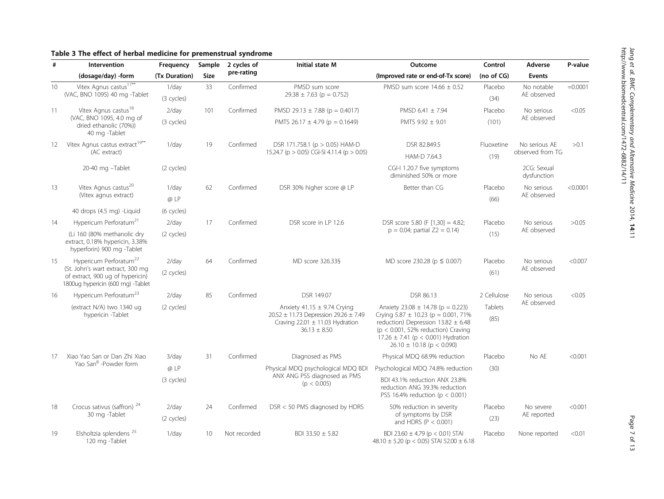<span id="page-6-0"></span>

|  |  |  |  |  |  | Table 3 The effect of herbal medicine for premenstrual syndrome |  |
|--|--|--|--|--|--|-----------------------------------------------------------------|--|
|--|--|--|--|--|--|-----------------------------------------------------------------|--|

| #  | Intervention                                                                                              | Frequency     | Sample      | 2 cycles of                                 | Initial state M                                                                                          | Outcome                                                                                                                                                                                                | Control       | Adverse                    | P-value    |       |
|----|-----------------------------------------------------------------------------------------------------------|---------------|-------------|---------------------------------------------|----------------------------------------------------------------------------------------------------------|--------------------------------------------------------------------------------------------------------------------------------------------------------------------------------------------------------|---------------|----------------------------|------------|-------|
|    | (dosage/day) -form                                                                                        | (Tx Duration) | <b>Size</b> | pre-rating                                  |                                                                                                          | (Improved rate or end-of-Tx score)                                                                                                                                                                     | (no of $CG$ ) | <b>Events</b>              |            |       |
| 10 | Vitex Agnus castus <sup>17**</sup>                                                                        | 1/day         | 33          | Confirmed                                   | PMSD sum score                                                                                           | PMSD sum score $14.66 \pm 0.52$                                                                                                                                                                        | Placebo       | No notable                 | $=0.0001$  |       |
|    | (VAC, BNO 1095) 40 mg -Tablet                                                                             | (3 cycles)    |             |                                             | $29.38 \pm 7.63$ (p = 0.752)                                                                             |                                                                                                                                                                                                        | (34)          | AE observed                |            |       |
| 11 | Vitex Agnus castus <sup>18</sup>                                                                          | $2$ /day      | 101         | Confirmed                                   | PMSD 29.13 $\pm$ 7.88 (p = 0.4017)                                                                       | PMSD 6.41 $\pm$ 7.94                                                                                                                                                                                   | Placebo       | No serious                 | < 0.05     |       |
|    | (VAC, BNO 1095, 4.0 mg of<br>dried ethanolic (70%))<br>40 mg -Tablet                                      | (3 cycles)    |             |                                             | PMTS 26.17 $\pm$ 4.79 (p = 0.1649)                                                                       | PMTS $9.92 \pm 9.01$                                                                                                                                                                                   | (101)         | AE observed                |            |       |
| 12 | Vitex Agnus castus extract <sup>19**</sup>                                                                | $1$ /day      | 19          | Confirmed                                   | DSR 171.758.1 ( $p > 0.05$ ) HAM-D                                                                       | DSR 82.849.5                                                                                                                                                                                           | Fluoxetine    | No serious AE              | >0.1       |       |
|    | (AC extract)                                                                                              |               |             |                                             | 15.24.7 (p > 0.05) CGI-SI 4.11.4 (p > 0.05)                                                              | HAM-D 7.64.3                                                                                                                                                                                           | (19)          | observed from TG           |            |       |
|    | 20-40 mg -Tablet                                                                                          | (2 cycles)    |             |                                             |                                                                                                          | CGI-I 1.20.7 five symptoms<br>diminished 50% or more                                                                                                                                                   |               | 2CG: Sexual<br>dysfunction |            |       |
| 13 | Vitex Agnus castus <sup>20</sup>                                                                          | 1/day         | 62          | Confirmed                                   | DSR 30% higher score @ LP                                                                                | Better than CG                                                                                                                                                                                         | Placebo       | No serious                 | < 0.0001   |       |
|    | (Vitex agnus extract)                                                                                     | $@$ $LP$      |             |                                             |                                                                                                          |                                                                                                                                                                                                        | (66)          | AE observed                |            |       |
|    | 40 drops (4.5 mg) -Liquid                                                                                 | (6 cycles)    |             |                                             |                                                                                                          |                                                                                                                                                                                                        |               |                            |            |       |
| 14 | Hypericum Perforatum <sup>21</sup>                                                                        | $2$ /day      | 17          | Confirmed                                   | DSR score in LP 12.6                                                                                     | DSR score 5.80 (F $[1,30] = 4.82$ ;                                                                                                                                                                    |               | Placebo                    | No serious | >0.05 |
|    | (Li 160 (80% methanolic dry<br>extract, 0.18% hypericin, 3.38%<br>hyperforin) 900 mg -Tablet              | (2 cycles)    |             |                                             |                                                                                                          | $p = 0.04$ ; partial $Z2 = 0.14$ )                                                                                                                                                                     | (15)          | AE observed                |            |       |
| 15 | Hypericum Perforatum <sup>22</sup>                                                                        | $2$ /day      | 64          | Confirmed                                   | MD score 326.33§                                                                                         | MD score 230.28 (p ≤ 0.007)                                                                                                                                                                            | Placebo       | No serious                 | < 0.007    |       |
|    | (St. John's wart extract, 300 mg<br>of extract, 900 ug of hypericin)<br>1800ug hypericin (600 mg) -Tablet | (2 cycles)    |             |                                             |                                                                                                          |                                                                                                                                                                                                        | (61)          | AE observed                |            |       |
| 16 | Hypericum Perforatum <sup>23</sup>                                                                        | $2$ /day      | 85          | Confirmed                                   | DSR 149.07                                                                                               | DSR 86.13                                                                                                                                                                                              | 2 Cellulose   | No serious                 | < 0.05     |       |
|    | (extract N/A) two 1340 ug                                                                                 | (2 cycles)    |             |                                             | Anxiety 41.15 $\pm$ 9.74 Crying                                                                          | Anxiety $23.08 \pm 14.78$ (p = 0.223)                                                                                                                                                                  | Tablets       | AE observed                |            |       |
|    | hypericin -Tablet                                                                                         |               |             |                                             | 20.52 $\pm$ 11.73 Depression 29.26 $\pm$ 7.49<br>Craving $22.01 \pm 11.03$ Hydration<br>$36.13 \pm 8.50$ | Crying $5.87 \pm 10.23$ (p = 0.001, 71%)<br>reduction) Depression $13.82 \pm 6.48$<br>$(p < 0.001, 52\%$ reduction) Craving<br>17.26 $\pm$ 7.41 (p < 0.001) Hydration<br>$26.10 \pm 10.18$ (p < 0.090) | (85)          |                            |            |       |
| 17 | Xiao Yao San or Dan Zhi Xiao                                                                              | $3$ /day      | 31          | Confirmed                                   | Diagnosed as PMS                                                                                         | Physical MDQ 68.9% reduction                                                                                                                                                                           | Placebo       | No AE                      | < 0.001    |       |
|    | Yao San <sup>8</sup> -Powder form                                                                         | @LP           |             |                                             | Physical MDQ psychological MDQ BDI                                                                       | Psychological MDQ 74.8% reduction                                                                                                                                                                      | (30)          |                            |            |       |
|    | (3 cycles)                                                                                                |               |             | ANX ANG PSS diagnosed as PMS<br>(p < 0.005) | BDI 43.1% reduction ANX 23.8%<br>reduction ANG 39.3% reduction<br>PSS 16.4% reduction ( $p < 0.001$ )    |                                                                                                                                                                                                        |               |                            |            |       |
| 18 | Crocus sativus (saffron) <sup>24</sup>                                                                    | $2$ /day      | 24          | Confirmed                                   | DSR < 50 PMS diagnosed by HDRS                                                                           | 50% reduction in severity                                                                                                                                                                              |               | No severe                  | < 0.001    |       |
|    | 30 mg -Tablet                                                                                             | (2 cycles)    |             |                                             |                                                                                                          | of symptoms by DSR<br>and HDRS ( $P < 0.001$ )                                                                                                                                                         | (23)          | AE reported                |            |       |
| 19 | Elsholtzia splendens <sup>25</sup><br>120 mg -Tablet                                                      | $1$ /day      | 10          | Not recorded                                | BDI 33.50 ± 5.82                                                                                         | BDI 23.60 $\pm$ 4.79 (p < 0.01) STAI<br>48.10 $\pm$ 5.20 (p < 0.05) STAI 52.00 $\pm$ 6.18                                                                                                              | Placebo       | None reported              | < 0.01     |       |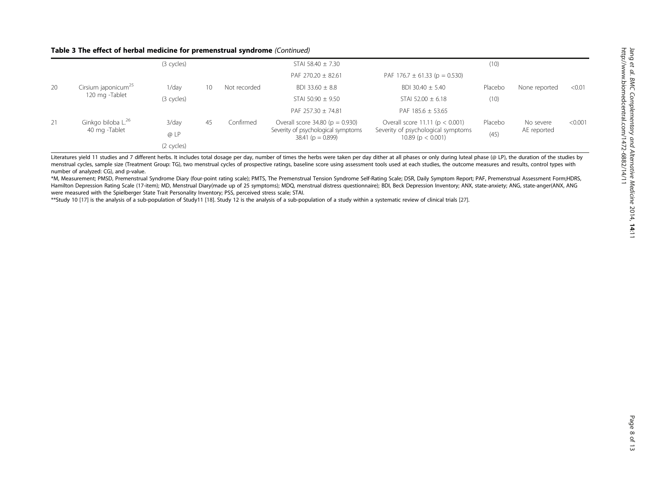## Table 3 The effect of herbal medicine for premenstrual syndrome (Continued)

|    |                                 | (3 cycles) |    |              | STAI 58.40 $\pm$ 7.30                                     |                                                           | (10)    |               |         |
|----|---------------------------------|------------|----|--------------|-----------------------------------------------------------|-----------------------------------------------------------|---------|---------------|---------|
|    |                                 |            |    |              | PAF 270.20 $\pm$ 82.61                                    | PAF 176.7 $\pm$ 61.33 (p = 0.530)                         |         |               |         |
| 20 | Cirsium japonicum <sup>25</sup> | 1/dav      | 10 | Not recorded | BDI 33.60 $\pm$ 8.8                                       | BDI 30.40 $\pm$ 5.40                                      | Placebo | None reported | < 0.01  |
|    | 120 mg -Tablet                  | (3 cycles) |    |              | STAI 50.90 $\pm$ 9.50                                     | STAI 52.00 $\pm$ 6.18                                     | (10)    |               |         |
|    |                                 |            |    |              | PAF 257.30 $\pm$ 74.81                                    | PAF 185.6 $\pm$ 53.65                                     |         |               |         |
| 21 | Ginkgo biloba L. <sup>26</sup>  | $3$ /day   | 45 | Confirmed    | Overall score $34.80$ ( $p = 0.930$ )                     | Overall score 11.11 ( $p < 0.001$ )                       | Placebo | No severe     | < 0.001 |
|    | 40 mg -Tablet                   | @LP        |    |              | Severity of psychological symptoms<br>$38.41$ (p = 0.899) | Severity of psychological symptoms<br>$10.89$ (p < 0.001) | (45)    | AE reported   |         |
|    |                                 | (2 cycles) |    |              |                                                           |                                                           |         |               |         |

Literatures yield 11 studies and 7 different herbs. It includes total dosage per day, number of times the herbs were taken per day dither at all phases or only during luteal phase (@ LP), the duration of the studies by menstrual cycles, sample size (Treatment Group: TG), two menstrual cycles of prospective ratings, baseline score using assessment tools used at each studies, the outcome measures and results, control types with number of analyzed: CG), and p-value.

\*M, Measurement; PMSD, Premenstrual Syndrome Diary (four-point rating scale); PMTS, The Premenstrual Tension Syndrome Self-Rating Scale; DSR, Daily Symptom Report; PAF, Premenstrual Assessment Form;HDRS, Hamilton Depression Rating Scale (17-item); MD, Menstrual Diary(made up of 25 symptoms); MDQ, menstrual distress questionnaire); BDI, Beck Depression Inventory; ANX, state-anxiety; ANG, state-anger(ANX, ANG were measured with the Spielberger State Trait Personality Inventory; PSS, perceived stress scale; STAI.

\*\*Study 10 [[17\]](#page-11-0) is the analysis of a sub-population of Study11 [\[18](#page-11-0)]. Study 12 is the analysis of a sub-population of a study within a systematic review of clinical trials [[27\]](#page-11-0).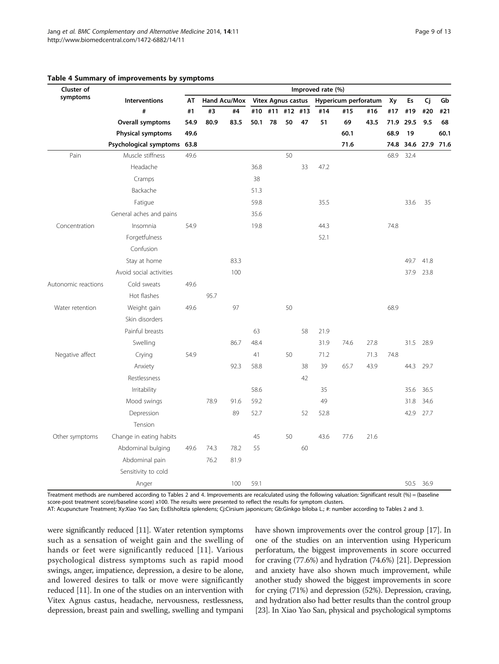| Cluster of          |                             | Improved rate (%) |              |      |      |     |                           |         |      |                      |      |      |      |                |      |
|---------------------|-----------------------------|-------------------|--------------|------|------|-----|---------------------------|---------|------|----------------------|------|------|------|----------------|------|
| symptoms            | <b>Interventions</b>        | AT                | Hand Acu/Mox |      |      |     | <b>Vitex Agnus castus</b> |         |      | Hypericum perforatum |      | Xy   | Es   | Cj             | Gb   |
|                     | #                           | #1                | #3           | #4   | #10  | #11 |                           | #12 #13 | #14  | #15                  | #16  | #17  | #19  | #20            | #21  |
|                     | Overall symptoms            | 54.9              | 80.9         | 83.5 | 50.1 | 78  | 50                        | 47      | 51   | 69                   | 43.5 | 71.9 | 29.5 | 9.5            | 68   |
|                     | <b>Physical symptoms</b>    | 49.6              |              |      |      |     |                           |         |      | 60.1                 |      | 68.9 | 19   |                | 60.1 |
|                     | Psychological symptoms 63.8 |                   |              |      |      |     |                           |         |      | 71.6                 |      | 74.8 |      | 34.6 27.9 71.6 |      |
| Pain                | Muscle stiffness            | 49.6              |              |      |      |     | 50                        |         |      |                      |      | 68.9 | 32.4 |                |      |
|                     | Headache                    |                   |              |      | 36.8 |     |                           | 33      | 47.2 |                      |      |      |      |                |      |
|                     | Cramps                      |                   |              |      | 38   |     |                           |         |      |                      |      |      |      |                |      |
|                     | Backache                    |                   |              |      | 51.3 |     |                           |         |      |                      |      |      |      |                |      |
|                     | Fatigue                     |                   |              |      | 59.8 |     |                           |         | 35.5 |                      |      |      | 33.6 | 35             |      |
|                     | General aches and pains     |                   |              |      | 35.6 |     |                           |         |      |                      |      |      |      |                |      |
| Concentration       | Insomnia                    | 54.9              |              |      | 19.8 |     |                           |         | 44.3 |                      |      | 74.8 |      |                |      |
|                     | Forgetfulness               |                   |              |      |      |     |                           |         | 52.1 |                      |      |      |      |                |      |
|                     | Confusion                   |                   |              |      |      |     |                           |         |      |                      |      |      |      |                |      |
|                     | Stay at home                |                   |              | 83.3 |      |     |                           |         |      |                      |      |      | 49.7 | 41.8           |      |
|                     | Avoid social activities     |                   |              | 100  |      |     |                           |         |      |                      |      |      | 37.9 | 23.8           |      |
| Autonomic reactions | Cold sweats                 | 49.6              |              |      |      |     |                           |         |      |                      |      |      |      |                |      |
|                     | Hot flashes                 |                   | 95.7         |      |      |     |                           |         |      |                      |      |      |      |                |      |
| Water retention     | Weight gain                 | 49.6              |              | 97   |      |     | 50                        |         |      |                      |      | 68.9 |      |                |      |
|                     | Skin disorders              |                   |              |      |      |     |                           |         |      |                      |      |      |      |                |      |
|                     | Painful breasts             |                   |              |      | 63   |     |                           | 58      | 21.9 |                      |      |      |      |                |      |
|                     | Swelling                    |                   |              | 86.7 | 48.4 |     |                           |         | 31.9 | 74.6                 | 27.8 |      | 31.5 | 28.9           |      |
| Negative affect     | Crying                      | 54.9              |              |      | 41   |     | 50                        |         | 71.2 |                      | 71.3 | 74.8 |      |                |      |
|                     | Anxiety                     |                   |              | 92.3 | 58.8 |     |                           | 38      | 39   | 65.7                 | 43.9 |      | 44.3 | 29.7           |      |
|                     | Restlessness                |                   |              |      |      |     |                           | 42      |      |                      |      |      |      |                |      |
|                     | Irritability                |                   |              |      | 58.6 |     |                           |         | 35   |                      |      |      | 35.6 | 36.5           |      |
|                     | Mood swings                 |                   | 78.9         | 91.6 | 59.2 |     |                           |         | 49   |                      |      |      | 31.8 | 34.6           |      |
|                     | Depression                  |                   |              | 89   | 52.7 |     |                           | 52      | 52.8 |                      |      |      | 42.9 | 27.7           |      |
|                     | Tension                     |                   |              |      |      |     |                           |         |      |                      |      |      |      |                |      |
| Other symptoms      | Change in eating habits     |                   |              |      | 45   |     | 50                        |         | 43.6 | 77.6                 | 21.6 |      |      |                |      |
|                     | Abdominal bulging           | 49.6              | 74.3         | 78.2 | 55   |     |                           | 60      |      |                      |      |      |      |                |      |
|                     | Abdominal pain              |                   | 76.2         | 81.9 |      |     |                           |         |      |                      |      |      |      |                |      |
|                     | Sensitivity to cold         |                   |              |      |      |     |                           |         |      |                      |      |      |      |                |      |
|                     | Anger                       |                   |              | 100  | 59.1 |     |                           |         |      |                      |      |      | 50.5 | 36.9           |      |

### <span id="page-8-0"></span>Table 4 Summary of improvements by symptoms

Treatment methods are numbered according to Tables [2](#page-5-0) and 4. Improvements are recalculated using the following valuation: Significant result (%) = (baseline score-post treatment score)/baseline score) x100. The results were presented to reflect the results for symptom clusters.

AT: Acupuncture Treatment; Xy:Xiao Yao San; Es:Elsholtzia splendens; Cj:Cirsium japonicum; Gb:Ginkgo biloba L.; #: number according to Tables [2](#page-5-0) and [3](#page-6-0).

were significantly reduced [[11\]](#page-11-0). Water retention symptoms such as a sensation of weight gain and the swelling of hands or feet were significantly reduced [[11\]](#page-11-0). Various psychological distress symptoms such as rapid mood swings, anger, impatience, depression, a desire to be alone, and lowered desires to talk or move were significantly reduced [\[11](#page-11-0)]. In one of the studies on an intervention with Vitex Agnus castus, headache, nervousness, restlessness, depression, breast pain and swelling, swelling and tympani have shown improvements over the control group [\[17\]](#page-11-0). In one of the studies on an intervention using Hypericum perforatum, the biggest improvements in score occurred for craving (77.6%) and hydration (74.6%) [\[21](#page-11-0)]. Depression and anxiety have also shown much improvement, while another study showed the biggest improvements in score for crying (71%) and depression (52%). Depression, craving, and hydration also had better results than the control group [[23](#page-11-0)]. In Xiao Yao San, physical and psychological symptoms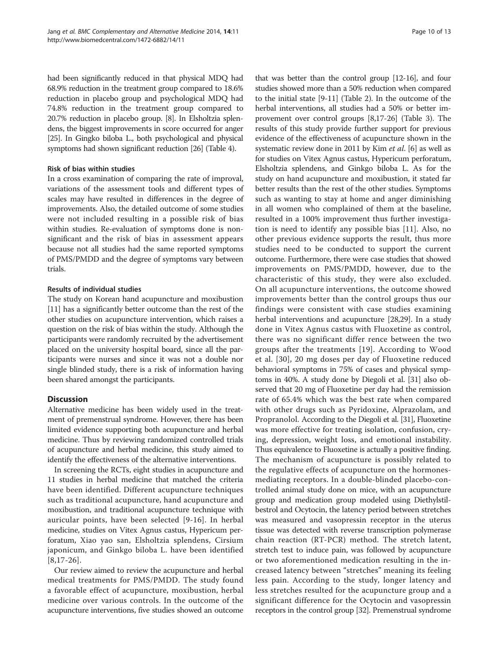had been significantly reduced in that physical MDQ had 68.9% reduction in the treatment group compared to 18.6% reduction in placebo group and psychological MDQ had 74.8% reduction in the treatment group compared to 20.7% reduction in placebo group. [\[8](#page-11-0)]. In Elsholtzia splendens, the biggest improvements in score occurred for anger [[25](#page-11-0)]. In Gingko biloba L., both psychological and physical symptoms had shown significant reduction [\[26\]](#page-11-0) (Table [4](#page-8-0)).

## Risk of bias within studies

In a cross examination of comparing the rate of improval, variations of the assessment tools and different types of scales may have resulted in differences in the degree of improvements. Also, the detailed outcome of some studies were not included resulting in a possible risk of bias within studies. Re-evaluation of symptoms done is nonsignificant and the risk of bias in assessment appears because not all studies had the same reported symptoms of PMS/PMDD and the degree of symptoms vary between trials.

## Results of individual studies

The study on Korean hand acupuncture and moxibustion [[11](#page-11-0)] has a significantly better outcome than the rest of the other studies on acupuncture intervention, which raises a question on the risk of bias within the study. Although the participants were randomly recruited by the advertisement placed on the university hospital board, since all the participants were nurses and since it was not a double nor single blinded study, there is a risk of information having been shared amongst the participants.

## **Discussion**

Alternative medicine has been widely used in the treatment of premenstrual syndrome. However, there has been limited evidence supporting both acupuncture and herbal medicine. Thus by reviewing randomized controlled trials of acupuncture and herbal medicine, this study aimed to identify the effectiveness of the alternative interventions.

In screening the RCTs, eight studies in acupuncture and 11 studies in herbal medicine that matched the criteria have been identified. Different acupuncture techniques such as traditional acupuncture, hand acupuncture and moxibustion, and traditional acupuncture technique with auricular points, have been selected [[9-16\]](#page-11-0). In herbal medicine, studies on Vitex Agnus castus, Hypericum perforatum, Xiao yao san, Elsholtzia splendens, Cirsium japonicum, and Ginkgo biloba L. have been identified  $[8,17-26]$  $[8,17-26]$ .

Our review aimed to review the acupuncture and herbal medical treatments for PMS/PMDD. The study found a favorable effect of acupuncture, moxibustion, herbal medicine over various controls. In the outcome of the acupuncture interventions, five studies showed an outcome

that was better than the control group [[12](#page-11-0)-[16](#page-11-0)], and four studies showed more than a 50% reduction when compared to the initial state [[9-11\]](#page-11-0) (Table [2](#page-5-0)). In the outcome of the herbal interventions, all studies had a 50% or better improvement over control groups [\[8,17-26\]](#page-11-0) (Table [3](#page-6-0)). The results of this study provide further support for previous evidence of the effectiveness of acupuncture shown in the systematic review done in 2011 by Kim et al. [\[6](#page-11-0)] as well as for studies on Vitex Agnus castus, Hypericum perforatum, Elsholtzia splendens, and Ginkgo biloba L. As for the study on hand acupuncture and moxibustion, it stated far better results than the rest of the other studies. Symptoms such as wanting to stay at home and anger diminishing in all women who complained of them at the baseline, resulted in a 100% improvement thus further investigation is need to identify any possible bias [\[11](#page-11-0)]. Also, no other previous evidence supports the result, thus more studies need to be conducted to support the current outcome. Furthermore, there were case studies that showed improvements on PMS/PMDD, however, due to the characteristic of this study, they were also excluded. On all acupuncture interventions, the outcome showed improvements better than the control groups thus our findings were consistent with case studies examining herbal interventions and acupuncture [[28,29](#page-12-0)]. In a study done in Vitex Agnus castus with Fluoxetine as control, there was no significant differ rence between the two groups after the treatments [[19](#page-11-0)]. According to Wood et al. [[30\]](#page-12-0), 20 mg doses per day of Fluoxetine reduced behavioral symptoms in 75% of cases and physical symptoms in 40%. A study done by Diegoli et al. [\[31\]](#page-12-0) also observed that 20 mg of Fluoxetine per day had the remission rate of 65.4% which was the best rate when compared with other drugs such as Pyridoxine, Alprazolam, and Propranolol. According to the Diegoli et al. [\[31\]](#page-12-0), Fluoxetine was more effective for treating isolation, confusion, crying, depression, weight loss, and emotional instability. Thus equivalence to Fluoxetine is actually a positive finding. The mechanism of acupuncture is possibly related to the regulative effects of acupuncture on the hormonesmediating receptors. In a double-blinded placebo-controlled animal study done on mice, with an acupuncture group and medication group modeled using Diethylstilbestrol and Ocytocin, the latency period between stretches was measured and vasopressin receptor in the uterus tissue was detected with reverse transcription polymerase chain reaction (RT-PCR) method. The stretch latent, stretch test to induce pain, was followed by acupuncture or two aforementioned medication resulting in the increased latency between "stretches" meaning its feeling less pain. According to the study, longer latency and less stretches resulted for the acupuncture group and a significant difference for the Ocytocin and vasopressin receptors in the control group [\[32](#page-12-0)]. Premenstrual syndrome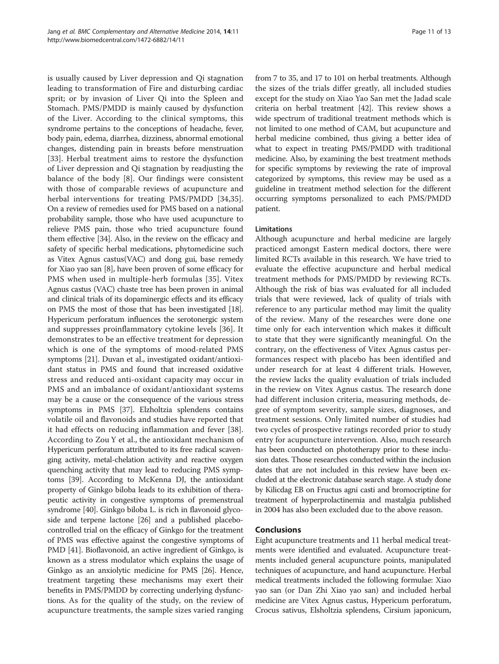is usually caused by Liver depression and Qi stagnation leading to transformation of Fire and disturbing cardiac sprit; or by invasion of Liver Qi into the Spleen and Stomach. PMS/PMDD is mainly caused by dysfunction of the Liver. According to the clinical symptoms, this syndrome pertains to the conceptions of headache, fever, body pain, edema, diarrhea, dizziness, abnormal emotional changes, distending pain in breasts before menstruation [[33\]](#page-12-0). Herbal treatment aims to restore the dysfunction of Liver depression and Qi stagnation by readjusting the balance of the body [\[8](#page-11-0)]. Our findings were consistent with those of comparable reviews of acupuncture and herbal interventions for treating PMS/PMDD [[34,35](#page-12-0)]. On a review of remedies used for PMS based on a national probability sample, those who have used acupuncture to relieve PMS pain, those who tried acupuncture found them effective [\[34\]](#page-12-0). Also, in the review on the efficacy and safety of specific herbal medications, phytomedicine such as Vitex Agnus castus(VAC) and dong gui, base remedy for Xiao yao san [\[8](#page-11-0)], have been proven of some efficacy for PMS when used in multiple-herb formulas [[35\]](#page-12-0). Vitex Agnus castus (VAC) chaste tree has been proven in animal and clinical trials of its dopaminergic effects and its efficacy on PMS the most of those that has been investigated [\[18](#page-11-0)]. Hypericum perforatum influences the serotonergic system and suppresses proinflammatory cytokine levels [[36](#page-12-0)]. It demonstrates to be an effective treatment for depression which is one of the symptoms of mood-related PMS symptoms [\[21\]](#page-11-0). Duvan et al., investigated oxidant/antioxidant status in PMS and found that increased oxidative stress and reduced anti-oxidant capacity may occur in PMS and an imbalance of oxidant/antioxidant systems may be a cause or the consequence of the various stress symptoms in PMS [[37\]](#page-12-0). Elzholtzia splendens contains volatile oil and flavonoids and studies have reported that it had effects on reducing inflammation and fever [\[38](#page-12-0)]. According to Zou Y et al., the antioxidant mechanism of Hypericum perforatum attributed to its free radical scavenging activity, metal-chelation activity and reactive oxygen quenching activity that may lead to reducing PMS symptoms [\[39\]](#page-12-0). According to McKenna DJ, the antioxidant property of Ginkgo biloba leads to its exhibition of therapeutic activity in congestive symptoms of premenstrual syndrome [\[40\]](#page-12-0). Ginkgo biloba L. is rich in flavonoid glycoside and terpene lactone [\[26](#page-11-0)] and a published placebocontrolled trial on the efficacy of Ginkgo for the treatment of PMS was effective against the congestive symptoms of PMD [\[41\]](#page-12-0). Bioflavonoid, an active ingredient of Ginkgo, is known as a stress modulator which explains the usage of Ginkgo as an anxiolytic medicine for PMS [\[26](#page-11-0)]. Hence, treatment targeting these mechanisms may exert their benefits in PMS/PMDD by correcting underlying dysfunctions. As for the quality of the study, on the review of acupuncture treatments, the sample sizes varied ranging

from 7 to 35, and 17 to 101 on herbal treatments. Although the sizes of the trials differ greatly, all included studies except for the study on Xiao Yao San met the Jadad scale criteria on herbal treatment [[42\]](#page-12-0). This review shows a wide spectrum of traditional treatment methods which is not limited to one method of CAM, but acupuncture and herbal medicine combined, thus giving a better idea of what to expect in treating PMS/PMDD with traditional medicine. Also, by examining the best treatment methods for specific symptoms by reviewing the rate of improval categorized by symptoms, this review may be used as a guideline in treatment method selection for the different occurring symptoms personalized to each PMS/PMDD patient.

## Limitations

Although acupuncture and herbal medicine are largely practiced amongst Eastern medical doctors, there were limited RCTs available in this research. We have tried to evaluate the effective acupuncture and herbal medical treatment methods for PMS/PMDD by reviewing RCTs. Although the risk of bias was evaluated for all included trials that were reviewed, lack of quality of trials with reference to any particular method may limit the quality of the review. Many of the researches were done one time only for each intervention which makes it difficult to state that they were significantly meaningful. On the contrary, on the effectiveness of Vitex Agnus castus performances respect with placebo has been identified and under research for at least 4 different trials. However, the review lacks the quality evaluation of trials included in the review on Vitex Agnus castus. The research done had different inclusion criteria, measuring methods, degree of symptom severity, sample sizes, diagnoses, and treatment sessions. Only limited number of studies had two cycles of prospective ratings recorded prior to study entry for acupuncture intervention. Also, much research has been conducted on phototherapy prior to these inclusion dates. Those researches conducted within the inclusion dates that are not included in this review have been excluded at the electronic database search stage. A study done by Kilicdag EB on Fructus agni casti and bromocriptine for treatment of hyperprolactinemia and mastalgia published in 2004 has also been excluded due to the above reason.

## Conclusions

Eight acupuncture treatments and 11 herbal medical treatments were identified and evaluated. Acupuncture treatments included general acupuncture points, manipulated techniques of acupuncture, and hand acupuncture. Herbal medical treatments included the following formulae: Xiao yao san (or Dan Zhi Xiao yao san) and included herbal medicine are Vitex Agnus castus, Hypericum perforatum, Crocus sativus, Elsholtzia splendens, Cirsium japonicum,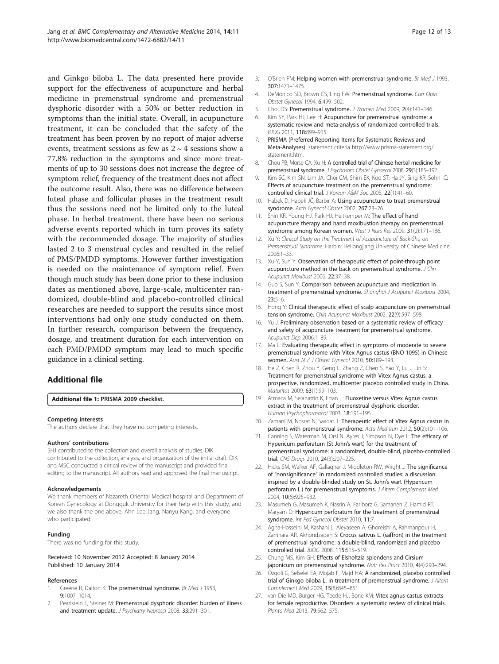<span id="page-11-0"></span>and Ginkgo biloba L. The data presented here provide support for the effectiveness of acupuncture and herbal medicine in premenstrual syndrome and premenstrual dysphoric disorder with a 50% or better reduction in symptoms than the initial state. Overall, in acupuncture treatment, it can be concluded that the safety of the treatment has been proven by no report of major adverse events, treatment sessions as few as  $2 \sim 4$  sessions show a 77.8% reduction in the symptoms and since more treatments of up to 30 sessions does not increase the degree of symptom relief, frequency of the treatment does not affect the outcome result. Also, there was no difference between luteal phase and follicular phases in the treatment result thus the sessions need not be limited only to the luteal phase. In herbal treatment, there have been no serious adverse events reported which in turn proves its safety with the recommended dosage. The majority of studies lasted 2 to 3 menstrual cycles and resulted in the relief of PMS/PMDD symptoms. However further investigation is needed on the maintenance of symptom relief. Even though much study has been done prior to these inclusion dates as mentioned above, large-scale, multicenter randomized, double-blind and placebo-controlled clinical researches are needed to support the results since most interventions had only one study conducted on them. In further research, comparison between the frequency, dosage, and treatment duration for each intervention on each PMD/PMDD symptom may lead to much specific guidance in a clinical setting.

## Additional file

[Additional file 1:](http://www.biomedcentral.com/content/supplementary/1472-6882-14-11-S1.doc) PRISMA 2009 checklist.

#### Competing interests

The authors declare that they have no competing interests.

#### Authors' contributions

SHJ contributed to the collection and overall analysis of studies. DIK contributed to the collection, analysis, and organization of the initial draft. DIK and MSC conducted a critical review of the manuscript and provided final editing to the manuscript. All authors read and approved the final manuscript.

#### Acknowledgements

We thank members of Nazareth Oriental Medical hospital and Department of Korean Gynecology at Dongguk University for their help with this study, and we also thank the one above, Ahn Lee Jang, Nanyu Kang, and everyone who participated.

#### Funding

There was no funding for this study.

Received: 10 November 2012 Accepted: 8 January 2014 Published: 10 January 2014

#### References

- 1. Greene R, Dalton K: The premenstrual syndrome. Br Med J 1953, 9:1007–1014.
- 2. Pearlstein T, Steiner M: Premenstrual dysphoric disorder: burden of illness and treatment update. J Psychiatry Neurosci 2008, 33:291-301.
- 3. O'Brien PM: Helping women with premenstrual syndrome. Br Med J 1993, 307:1471–1475.
- 4. DeMonico SO, Brown CS, Ling FW: Premenstrual syndrome. Curr Opin Obstet Gynecol 1994, 6:499–502.
- 5. Choi DS: Premenstrual syndrome. J Women Med 2009, 2(4):141–146.
- 6. Kim SY, Park HJ, Lee H: Acupuncture for premenstrual syndrome: a systematic review and meta-analysis of randomized controlled trials. BJOG 2011, 118:899–915.
- 7. PRISMA (Preferred Reporting Items for Systematic Reviews and Meta-Analyses). statement criteria [http://www.prisma-statement.org/](http://www.prisma-statement.org/statement.htm) [statement.htm](http://www.prisma-statement.org/statement.htm)
- 8. Chou PB, Morse CA, Xu H: A controlled trial of Chinese herbal medicine for premenstrual syndrome. J Psychosom Obstet Gynaecol 2008, 29(3):185–192.
- 9. Kim SC, Kim SN, Lim JA, Choi CM, Shim EK, Koo ST, Ha JY, Sing KR, Sohn IC: Effects of acupuncture treatment on the premenstrual syndrome: controlled clinical trial. J Korean A&M Soc 2005, 22(1):41–60.
- 10. Habek D, Habek JČ, Barbir A: Using acupuncture to treat premenstrual syndrome. Arch Gynecol Obstet 2002, 267:23–26.
- 11. Shin KR, Young HJ, Park HJ, Heitkemper M: The effect of hand acupuncture therapy and hand moxibustion therapy on premenstrual syndrome among Korean women. West J Nurs Res 2009, 31(2):171-186.
- 12. Xu Y: Clinical Study on the Treatment of Acupuncture of Back-Shu on Premenstrual Syndrome. Harbin: Heilongjiang University of Chinese Medicine; 2006:1–33.
- 13. Xu Y, Sun Y: Observation of therapeutic effect of point-through point acupuncture method in the back on premenstrual syndrome. J Clin Acupunct Moxibust 2006, 22:37–38.
- 14. Guo S, Sun Y: Comparison between acupuncture and medication in treatment of premenstrual syndrome. Shanghai J Acupunct Moxibust 2004, 23:5–6.
- 15. Hong Y: Clinical therapeutic effect of scalp acupuncture on premenstrual tension syndrome. Chin Acupunct Moxibust 2002, 22(9):597–598.
- 16. Yu J: Preliminary observation based on a systematic review of efficacy and safety of acupuncture treatment for premenstrual syndrome. Acupunct Dep 2006:1–89.
- 17. Ma L: Evaluating therapeutic effect in symptoms of moderate to severe premenstrual syndrome with Vitex Agnus castus (BNO 1095) in Chinese women. Aust N Z J Obstet Gynecol 2010, 50:189–193.
- 18. He Z, Chen R, Zhou Y, Geng L, Zhang Z, Chen S, Yao Y, Lu J, Lin S: Treatment for premenstrual syndrome with Vitex Agnus castus: a prospective, randomized, multicenter placebo controlled study in China. Maturitas 2009, 63(1):99–103.
- 19. Atmaca M, Selahattin K, Ertan T: Fluoxetine versus Vitex Agnus castus extract in the treatment of premenstrual dysphoric disorder. Human Psychopharmacol 2003, 18:191–195.
- 20. Zamani M, Nosrat N, Saadat T: Therapeutic effect of Vitex Agnus castus in patients with premenstrual syndrome. Acta Med Iran 2012, 50(2):101-106.
- 21. Canning S, Waterman M, Orsi N, Ayres J, Simpson N, Dye L: The efficacy of Hypericum perforatum (St John's wart) for the treatment of premenstrual syndrome: a randomized, double-blind, placebo-controlled trial. CNS Drugs 2010, 24(3):207–225.
- 22. Hicks SM, Walker AF, Gallagher J, Middleton RW, Wright J: The significance of "nonsignificance" in randomized controlled studies: a discussion inspired by a double-blinded study on St. John's wart (Hypericum perforatum L.) for premenstrual symptoms. J Altern Complement Med 2004, 10(6):925–932.
- 23. Masumeh G, Masumeh K, Nasrin A, Fariborz G, Samaneh Z, Hamid RT, Maryam D: Hypericum perforatum for the treatment of premenstrual syndrome. Int Fed Gynecol Obstet 2010, 11:7.
- 24. Agha-Hosseini M, Kashani L, Aleyaseen A, Ghoreishi A, Rahmanpour H, Zarrinara AR, Akhondzadeh S: Crocus sativus L. (saffron) in the treatment of premenstrual syndrome: a double-blind, randomized and placebo controlled trial. BJOG 2008, 115:515–519.
- 25. Chung MS, Kim GH: Effects of Elsholtzia splendens and Cirsium japonicum on premenstrual syndrome. Nutr Res Pract 2010, 4(4):290–294.
- 26. Ozgoli G, Selselei EA, Mojab F, Majd HA: A randomized, placebo controlled trial of Ginkgo biloba L. in treatment of premenstrual syndrome. J Altern Complement Med 2009, 15(8):845–851.
- 27. van Die MD, Burger HG, Teede HJ, Bone KM: Vitex agnus-castus extracts for female reproductive. Disorders: a systematic review of clinical trials. Planta Med 2013, 79:562–575.